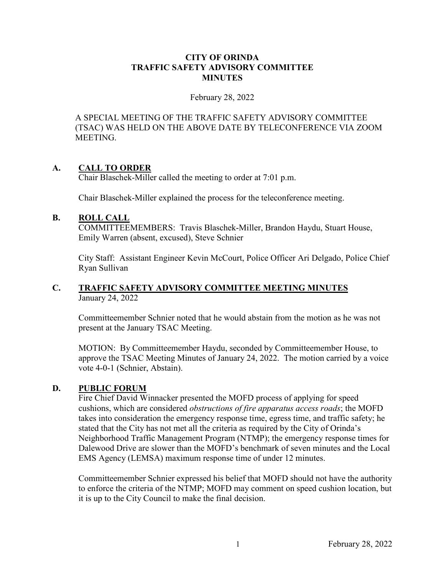#### **CITY OF ORINDA TRAFFIC SAFETY ADVISORY COMMITTEE MINUTES**

#### February 28, 2022

A SPECIAL MEETING OF THE TRAFFIC SAFETY ADVISORY COMMITTEE (TSAC) WAS HELD ON THE ABOVE DATE BY TELECONFERENCE VIA ZOOM MEETING.

#### **A. CALL TO ORDER**

Chair Blaschek-Miller called the meeting to order at 7:01 p.m.

Chair Blaschek-Miller explained the process for the teleconference meeting.

#### **B. ROLL CALL**

COMMITTEEMEMBERS: Travis Blaschek-Miller, Brandon Haydu, Stuart House, Emily Warren (absent, excused), Steve Schnier

City Staff: Assistant Engineer Kevin McCourt, Police Officer Ari Delgado, Police Chief Ryan Sullivan

## **C. TRAFFIC SAFETY ADVISORY COMMITTEE MEETING MINUTES** January 24, 2022

Committeemember Schnier noted that he would abstain from the motion as he was not present at the January TSAC Meeting.

MOTION: By Committeemember Haydu, seconded by Committeemember House, to approve the TSAC Meeting Minutes of January 24, 2022. The motion carried by a voice vote 4-0-1 (Schnier, Abstain).

# **D. PUBLIC FORUM**

 Fire Chief David Winnacker presented the MOFD process of applying for speed cushions, which are considered *obstructions of fire apparatus access roads*; the MOFD takes into consideration the emergency response time, egress time, and traffic safety; he stated that the City has not met all the criteria as required by the City of Orinda's Neighborhood Traffic Management Program (NTMP); the emergency response times for Dalewood Drive are slower than the MOFD's benchmark of seven minutes and the Local EMS Agency (LEMSA) maximum response time of under 12 minutes.

 Committeemember Schnier expressed his belief that MOFD should not have the authority to enforce the criteria of the NTMP; MOFD may comment on speed cushion location, but it is up to the City Council to make the final decision.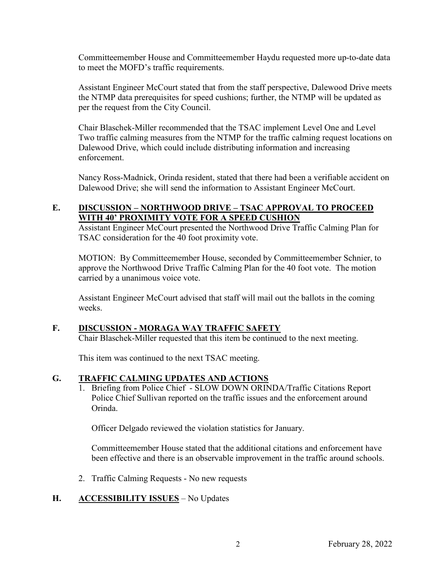Committeemember House and Committeemember Haydu requested more up-to-date data to meet the MOFD's traffic requirements.

 Assistant Engineer McCourt stated that from the staff perspective, Dalewood Drive meets the NTMP data prerequisites for speed cushions; further, the NTMP will be updated as per the request from the City Council.

 Chair Blaschek-Miller recommended that the TSAC implement Level One and Level Two traffic calming measures from the NTMP for the traffic calming request locations on Dalewood Drive, which could include distributing information and increasing enforcement.

 Nancy Ross-Madnick, Orinda resident, stated that there had been a verifiable accident on Dalewood Drive; she will send the information to Assistant Engineer McCourt.

# **E. DISCUSSION – NORTHWOOD DRIVE – TSAC APPROVAL TO PROCEED WITH 40' PROXIMITY VOTE FOR A SPEED CUSHION**

Assistant Engineer McCourt presented the Northwood Drive Traffic Calming Plan for TSAC consideration for the 40 foot proximity vote.

MOTION: By Committeemember House, seconded by Committeemember Schnier, to approve the Northwood Drive Traffic Calming Plan for the 40 foot vote. The motion carried by a unanimous voice vote.

Assistant Engineer McCourt advised that staff will mail out the ballots in the coming weeks.

# **F. DISCUSSION - MORAGA WAY TRAFFIC SAFETY**

Chair Blaschek-Miller requested that this item be continued to the next meeting.

This item was continued to the next TSAC meeting.

# **G. TRAFFIC CALMING UPDATES AND ACTIONS**

1. Briefing from Police Chief - SLOW DOWN ORINDA/Traffic Citations Report Police Chief Sullivan reported on the traffic issues and the enforcement around Orinda.

Officer Delgado reviewed the violation statistics for January.

Committeemember House stated that the additional citations and enforcement have been effective and there is an observable improvement in the traffic around schools.

2. Traffic Calming Requests - No new requests

# **H. ACCESSIBILITY ISSUES – No Updates**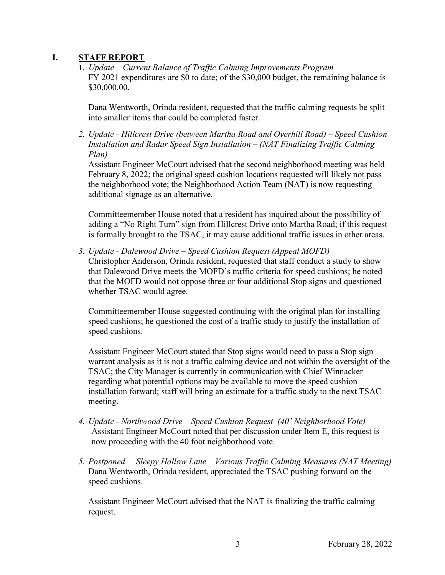# **I. STAFF REPORT**

1. *Update – Current Balance of Traffic Calming Improvements Program* FY 2021 expenditures are \$0 to date; of the \$30,000 budget, the remaining balance is \$30,000.00.

Dana Wentworth, Orinda resident, requested that the traffic calming requests be split into smaller items that could be completed faster.

*2. Update - Hillcrest Drive (between Martha Road and Overhill Road) – Speed Cushion Installation and Radar Speed Sign Installation – (NAT Finalizing Traffic Calming Plan)*

Assistant Engineer McCourt advised that the second neighborhood meeting was held February 8, 2022; the original speed cushion locations requested will likely not pass the neighborhood vote; the Neighborhood Action Team (NAT) is now requesting additional signage as an alternative.

Committeemember House noted that a resident has inquired about the possibility of adding a "No Right Turn" sign from Hillcrest Drive onto Martha Road; if this request is formally brought to the TSAC, it may cause additional traffic issues in other areas.

*3. Update - Dalewood Drive – Speed Cushion Request (Appeal MOFD)*  Christopher Anderson, Orinda resident, requested that staff conduct a study to show that Dalewood Drive meets the MOFD's traffic criteria for speed cushions; he noted that the MOFD would not oppose three or four additional Stop signs and questioned whether TSAC would agree.

Committeemember House suggested continuing with the original plan for installing speed cushions; he questioned the cost of a traffic study to justify the installation of speed cushions.

Assistant Engineer McCourt stated that Stop signs would need to pass a Stop sign warrant analysis as it is not a traffic calming device and not within the oversight of the TSAC; the City Manager is currently in communication with Chief Winnacker regarding what potential options may be available to move the speed cushion installation forward; staff will bring an estimate for a traffic study to the next TSAC meeting.

- *4. Update Northwood Drive Speed Cushion Request (40' Neighborhood Vote)*  Assistant Engineer McCourt noted that per discussion under Item E, this request is now proceeding with the 40 foot neighborhood vote.
- *5. Postponed Sleepy Hollow Lane Various Traffic Calming Measures (NAT Meeting)*  Dana Wentworth, Orinda resident, appreciated the TSAC pushing forward on the speed cushions.

Assistant Engineer McCourt advised that the NAT is finalizing the traffic calming request.